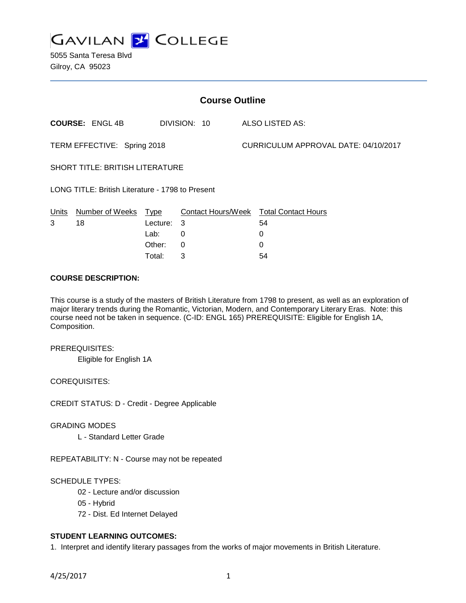

5055 Santa Teresa Blvd Gilroy, CA 95023

| <b>Course Outline</b>                            |                        |          |              |                                      |                                        |
|--------------------------------------------------|------------------------|----------|--------------|--------------------------------------|----------------------------------------|
|                                                  | <b>COURSE: ENGL 4B</b> |          | DIVISION: 10 |                                      | ALSO LISTED AS:                        |
| TERM EFFECTIVE: Spring 2018                      |                        |          |              | CURRICULUM APPROVAL DATE: 04/10/2017 |                                        |
| SHORT TITLE: BRITISH LITERATURE                  |                        |          |              |                                      |                                        |
| LONG TITLE: British Literature - 1798 to Present |                        |          |              |                                      |                                        |
| Units                                            | Number of Weeks Type   |          |              |                                      | Contact Hours/Week Total Contact Hours |
| 3                                                | 18                     | Lecture: | 3            |                                      | 54                                     |
|                                                  |                        | Lab:     | $\Omega$     |                                      | 0                                      |
|                                                  |                        | Other:   | $\Omega$     |                                      | 0                                      |
|                                                  |                        | Total:   | 3            |                                      | 54                                     |

### **COURSE DESCRIPTION:**

This course is a study of the masters of British Literature from 1798 to present, as well as an exploration of major literary trends during the Romantic, Victorian, Modern, and Contemporary Literary Eras. Note: this course need not be taken in sequence. (C-ID: ENGL 165) PREREQUISITE: Eligible for English 1A, Composition.

PREREQUISITES:

Eligible for English 1A

COREQUISITES:

CREDIT STATUS: D - Credit - Degree Applicable

GRADING MODES

L - Standard Letter Grade

REPEATABILITY: N - Course may not be repeated

SCHEDULE TYPES:

- 02 Lecture and/or discussion
- 05 Hybrid
- 72 Dist. Ed Internet Delayed

# **STUDENT LEARNING OUTCOMES:**

1. Interpret and identify literary passages from the works of major movements in British Literature.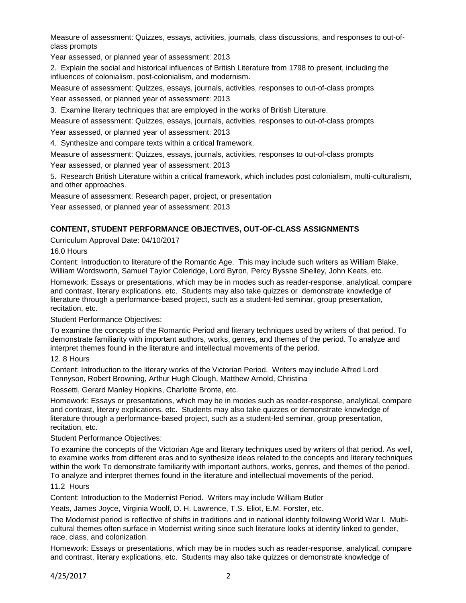Measure of assessment: Quizzes, essays, activities, journals, class discussions, and responses to out-ofclass prompts

Year assessed, or planned year of assessment: 2013

2. Explain the social and historical influences of British Literature from 1798 to present, including the influences of colonialism, post-colonialism, and modernism.

Measure of assessment: Quizzes, essays, journals, activities, responses to out-of-class prompts Year assessed, or planned year of assessment: 2013

3. Examine literary techniques that are employed in the works of British Literature.

Measure of assessment: Quizzes, essays, journals, activities, responses to out-of-class prompts Year assessed, or planned year of assessment: 2013

4. Synthesize and compare texts within a critical framework.

Measure of assessment: Quizzes, essays, journals, activities, responses to out-of-class prompts

Year assessed, or planned year of assessment: 2013

5. Research British Literature within a critical framework, which includes post colonialism, multi-culturalism, and other approaches.

Measure of assessment: Research paper, project, or presentation

Year assessed, or planned year of assessment: 2013

### **CONTENT, STUDENT PERFORMANCE OBJECTIVES, OUT-OF-CLASS ASSIGNMENTS**

Curriculum Approval Date: 04/10/2017

#### 16.0 Hours

Content: Introduction to literature of the Romantic Age. This may include such writers as William Blake, William Wordsworth, Samuel Taylor Coleridge, Lord Byron, Percy Bysshe Shelley, John Keats, etc.

Homework: Essays or presentations, which may be in modes such as reader-response, analytical, compare and contrast, literary explications, etc. Students may also take quizzes or demonstrate knowledge of literature through a performance-based project, such as a student-led seminar, group presentation, recitation, etc.

Student Performance Objectives:

To examine the concepts of the Romantic Period and literary techniques used by writers of that period. To demonstrate familiarity with important authors, works, genres, and themes of the period. To analyze and interpret themes found in the literature and intellectual movements of the period.

#### 12. 8 Hours

Content: Introduction to the literary works of the Victorian Period. Writers may include Alfred Lord Tennyson, Robert Browning, Arthur Hugh Clough, Matthew Arnold, Christina

Rossetti, Gerard Manley Hopkins, Charlotte Bronte, etc.

Homework: Essays or presentations, which may be in modes such as reader-response, analytical, compare and contrast, literary explications, etc. Students may also take quizzes or demonstrate knowledge of literature through a performance-based project, such as a student-led seminar, group presentation, recitation, etc.

Student Performance Objectives:

To examine the concepts of the Victorian Age and literary techniques used by writers of that period. As well, to examine works from different eras and to synthesize ideas related to the concepts and literary techniques within the work To demonstrate familiarity with important authors, works, genres, and themes of the period. To analyze and interpret themes found in the literature and intellectual movements of the period.

# 11.2 Hours

Content: Introduction to the Modernist Period. Writers may include William Butler

Yeats, James Joyce, Virginia Woolf, D. H. Lawrence, T.S. Eliot, E.M. Forster, etc.

The Modernist period is reflective of shifts in traditions and in national identity following World War I. Multicultural themes often surface in Modernist writing since such literature looks at identity linked to gender, race, class, and colonization.

Homework: Essays or presentations, which may be in modes such as reader-response, analytical, compare and contrast, literary explications, etc. Students may also take quizzes or demonstrate knowledge of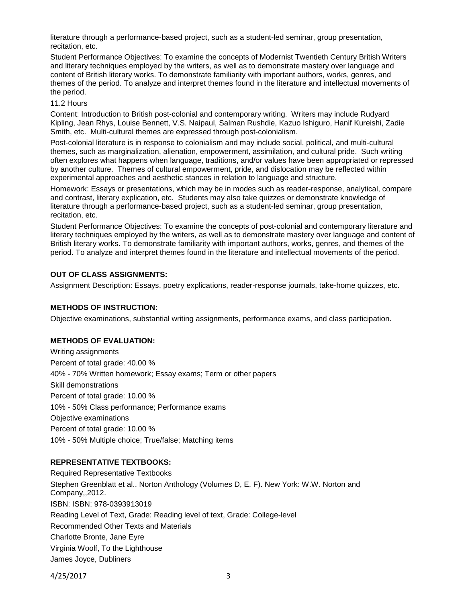literature through a performance-based project, such as a student-led seminar, group presentation, recitation, etc.

Student Performance Objectives: To examine the concepts of Modernist Twentieth Century British Writers and literary techniques employed by the writers, as well as to demonstrate mastery over language and content of British literary works. To demonstrate familiarity with important authors, works, genres, and themes of the period. To analyze and interpret themes found in the literature and intellectual movements of the period.

#### 11.2 Hours

Content: Introduction to British post-colonial and contemporary writing. Writers may include Rudyard Kipling, Jean Rhys, Louise Bennett, V.S. Naipaul, Salman Rushdie, Kazuo Ishiguro, Hanif Kureishi, Zadie Smith, etc. Multi-cultural themes are expressed through post-colonialism.

Post-colonial literature is in response to colonialism and may include social, political, and multi-cultural themes, such as marginalization, alienation, empowerment, assimilation, and cultural pride. Such writing often explores what happens when language, traditions, and/or values have been appropriated or repressed by another culture. Themes of cultural empowerment, pride, and dislocation may be reflected within experimental approaches and aesthetic stances in relation to language and structure.

Homework: Essays or presentations, which may be in modes such as reader-response, analytical, compare and contrast, literary explication, etc. Students may also take quizzes or demonstrate knowledge of literature through a performance-based project, such as a student-led seminar, group presentation, recitation, etc.

Student Performance Objectives: To examine the concepts of post-colonial and contemporary literature and literary techniques employed by the writers, as well as to demonstrate mastery over language and content of British literary works. To demonstrate familiarity with important authors, works, genres, and themes of the period. To analyze and interpret themes found in the literature and intellectual movements of the period.

# **OUT OF CLASS ASSIGNMENTS:**

Assignment Description: Essays, poetry explications, reader-response journals, take-home quizzes, etc.

# **METHODS OF INSTRUCTION:**

Objective examinations, substantial writing assignments, performance exams, and class participation.

# **METHODS OF EVALUATION:**

Writing assignments Percent of total grade: 40.00 % 40% - 70% Written homework; Essay exams; Term or other papers Skill demonstrations Percent of total grade: 10.00 % 10% - 50% Class performance; Performance exams Objective examinations Percent of total grade: 10.00 % 10% - 50% Multiple choice; True/false; Matching items

# **REPRESENTATIVE TEXTBOOKS:**

Required Representative Textbooks Stephen Greenblatt et al.. Norton Anthology (Volumes D, E, F). New York: W.W. Norton and Company,,2012. ISBN: ISBN: 978-0393913019 Reading Level of Text, Grade: Reading level of text, Grade: College-level Recommended Other Texts and Materials Charlotte Bronte, Jane Eyre Virginia Woolf, To the Lighthouse James Joyce, Dubliners